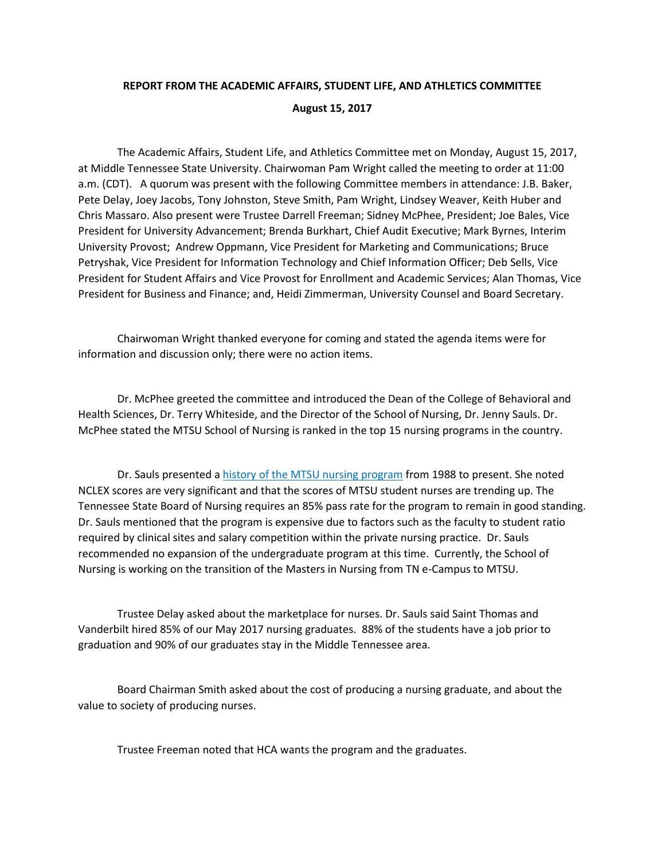## **REPORT FROM THE ACADEMIC AFFAIRS, STUDENT LIFE, AND ATHLETICS COMMITTEE August 15, 2017**

The Academic Affairs, Student Life, and Athletics Committee met on Monday, August 15, 2017, at Middle Tennessee State University. Chairwoman Pam Wright called the meeting to order at 11:00 a.m. (CDT). A quorum was present with the following Committee members in attendance: J.B. Baker, Pete Delay, Joey Jacobs, Tony Johnston, Steve Smith, Pam Wright, Lindsey Weaver, Keith Huber and Chris Massaro. Also present were Trustee Darrell Freeman; Sidney McPhee, President; Joe Bales, Vice President for University Advancement; Brenda Burkhart, Chief Audit Executive; Mark Byrnes, Interim University Provost; Andrew Oppmann, Vice President for Marketing and Communications; Bruce Petryshak, Vice President for Information Technology and Chief Information Officer; Deb Sells, Vice President for Student Affairs and Vice Provost for Enrollment and Academic Services; Alan Thomas, Vice President for Business and Finance; and, Heidi Zimmerman, University Counsel and Board Secretary.

Chairwoman Wright thanked everyone for coming and stated the agenda items were for information and discussion only; there were no action items.

Dr. McPhee greeted the committee and introduced the Dean of the College of Behavioral and Health Sciences, Dr. Terry Whiteside, and the Director of the School of Nursing, Dr. Jenny Sauls. Dr. McPhee stated the MTSU School of Nursing is ranked in the top 15 nursing programs in the country.

Dr. Sauls presented a [history of the MTSU nursing program](http://www.mtsu.edu/boardoftrustees/meetings/docs/aa-2017-august-15/aa-2017-august-15-NursingPresentation.pdf) from 1988 to present. She noted NCLEX scores are very significant and that the scores of MTSU student nurses are trending up. The Tennessee State Board of Nursing requires an 85% pass rate for the program to remain in good standing. Dr. Sauls mentioned that the program is expensive due to factors such as the faculty to student ratio required by clinical sites and salary competition within the private nursing practice. Dr. Sauls recommended no expansion of the undergraduate program at this time. Currently, the School of Nursing is working on the transition of the Masters in Nursing from TN e-Campus to MTSU.

Trustee Delay asked about the marketplace for nurses. Dr. Sauls said Saint Thomas and Vanderbilt hired 85% of our May 2017 nursing graduates. 88% of the students have a job prior to graduation and 90% of our graduates stay in the Middle Tennessee area.

Board Chairman Smith asked about the cost of producing a nursing graduate, and about the value to society of producing nurses.

Trustee Freeman noted that HCA wants the program and the graduates.